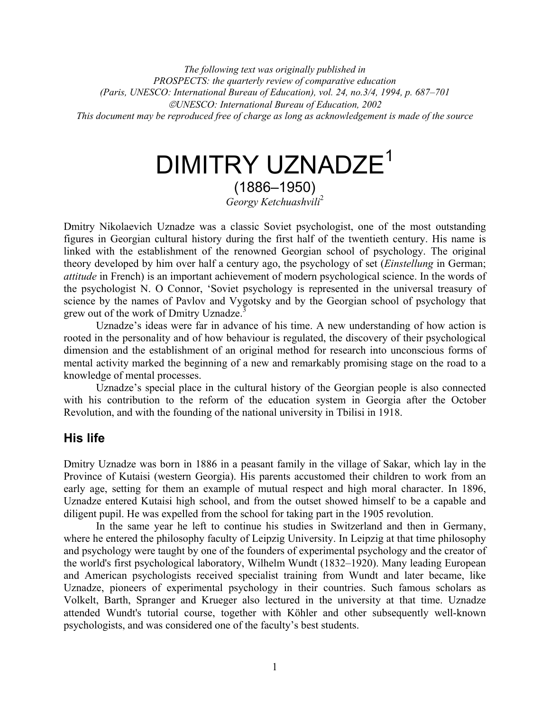*The following text was originally published in PROSPECTS: the quarterly review of comparative education (Paris, UNESCO: International Bureau of Education), vol. 24, no.3/4, 1994, p. 687–701 UNESCO: International Bureau of Education, 2002 This document may be reproduced free of charge as long as acknowledgement is made of the source* 

# DIMITRY UZNADZE<sup>1</sup>

(1886–1950) *Georgy Ketchuashvili*<sup>2</sup>

Dmitry Nikolaevich Uznadze was a classic Soviet psychologist, one of the most outstanding figures in Georgian cultural history during the first half of the twentieth century. His name is linked with the establishment of the renowned Georgian school of psychology. The original theory developed by him over half a century ago, the psychology of set (*Einstellung* in German; *attitude* in French) is an important achievement of modern psychological science. In the words of the psychologist N. O Connor, 'Soviet psychology is represented in the universal treasury of science by the names of Pavlov and Vygotsky and by the Georgian school of psychology that grew out of the work of Dmitry Uznadze.<sup>3</sup>

Uznadze's ideas were far in advance of his time. A new understanding of how action is rooted in the personality and of how behaviour is regulated, the discovery of their psychological dimension and the establishment of an original method for research into unconscious forms of mental activity marked the beginning of a new and remarkably promising stage on the road to a knowledge of mental processes.

Uznadze's special place in the cultural history of the Georgian people is also connected with his contribution to the reform of the education system in Georgia after the October Revolution, and with the founding of the national university in Tbilisi in 1918.

#### **His life**

Dmitry Uznadze was born in 1886 in a peasant family in the village of Sakar, which lay in the Province of Kutaisi (western Georgia). His parents accustomed their children to work from an early age, setting for them an example of mutual respect and high moral character. In 1896, Uznadze entered Kutaisi high school, and from the outset showed himself to be a capable and diligent pupil. He was expelled from the school for taking part in the 1905 revolution.

In the same year he left to continue his studies in Switzerland and then in Germany, where he entered the philosophy faculty of Leipzig University. In Leipzig at that time philosophy and psychology were taught by one of the founders of experimental psychology and the creator of the world's first psychological laboratory, Wilhelm Wundt (1832–1920). Many leading European and American psychologists received specialist training from Wundt and later became, like Uznadze, pioneers of experimental psychology in their countries. Such famous scholars as Volkelt, Barth, Spranger and Krueger also lectured in the university at that time. Uznadze attended Wundt's tutorial course, together with Köhler and other subsequently well-known psychologists, and was considered one of the faculty's best students.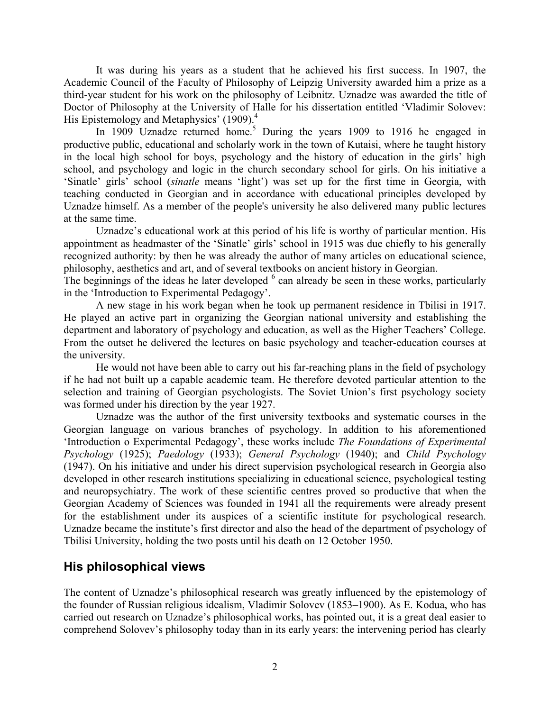It was during his years as a student that he achieved his first success. In 1907, the Academic Council of the Faculty of Philosophy of Leipzig University awarded him a prize as a third-year student for his work on the philosophy of Leibnitz. Uznadze was awarded the title of Doctor of Philosophy at the University of Halle for his dissertation entitled 'Vladimir Solovev: His Epistemology and Metaphysics' (1909).<sup>4</sup>

In 1909 Uznadze returned home.<sup>5</sup> During the years 1909 to 1916 he engaged in productive public, educational and scholarly work in the town of Kutaisi, where he taught history in the local high school for boys, psychology and the history of education in the girls' high school, and psychology and logic in the church secondary school for girls. On his initiative a 'Sinatle' girls' school (*sinatle* means 'light') was set up for the first time in Georgia, with teaching conducted in Georgian and in accordance with educational principles developed by Uznadze himself. As a member of the people's university he also delivered many public lectures at the same time.

Uznadze's educational work at this period of his life is worthy of particular mention. His appointment as headmaster of the 'Sinatle' girls' school in 1915 was due chiefly to his generally recognized authority: by then he was already the author of many articles on educational science, philosophy, aesthetics and art, and of several textbooks on ancient history in Georgian.

The beginnings of the ideas he later developed  $6$  can already be seen in these works, particularly in the 'Introduction to Experimental Pedagogy'.

A new stage in his work began when he took up permanent residence in Tbilisi in 1917. He played an active part in organizing the Georgian national university and establishing the department and laboratory of psychology and education, as well as the Higher Teachers' College. From the outset he delivered the lectures on basic psychology and teacher-education courses at the university.

He would not have been able to carry out his far-reaching plans in the field of psychology if he had not built up a capable academic team. He therefore devoted particular attention to the selection and training of Georgian psychologists. The Soviet Union's first psychology society was formed under his direction by the year 1927.

Uznadze was the author of the first university textbooks and systematic courses in the Georgian language on various branches of psychology. In addition to his aforementioned 'Introduction o Experimental Pedagogy', these works include *The Foundations of Experimental Psychology* (1925); *Paedology* (1933); *General Psychology* (1940); and *Child Psychology* (1947). On his initiative and under his direct supervision psychological research in Georgia also developed in other research institutions specializing in educational science, psychological testing and neuropsychiatry. The work of these scientific centres proved so productive that when the Georgian Academy of Sciences was founded in 1941 all the requirements were already present for the establishment under its auspices of a scientific institute for psychological research. Uznadze became the institute's first director and also the head of the department of psychology of Tbilisi University, holding the two posts until his death on 12 October 1950.

### **His philosophical views**

The content of Uznadze's philosophical research was greatly influenced by the epistemology of the founder of Russian religious idealism, Vladimir Solovev (1853–1900). As E. Kodua, who has carried out research on Uznadze's philosophical works, has pointed out, it is a great deal easier to comprehend Solovev's philosophy today than in its early years: the intervening period has clearly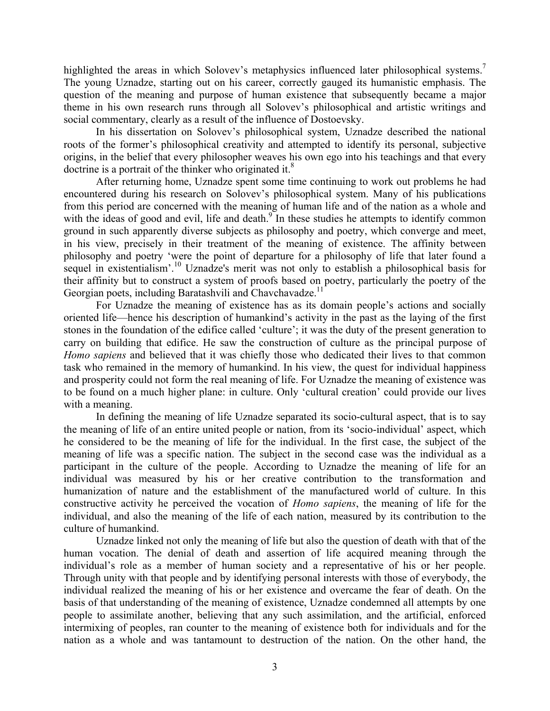highlighted the areas in which Solovev's metaphysics influenced later philosophical systems.<sup>7</sup> The young Uznadze, starting out on his career, correctly gauged its humanistic emphasis. The question of the meaning and purpose of human existence that subsequently became a major theme in his own research runs through all Solovev's philosophical and artistic writings and social commentary, clearly as a result of the influence of Dostoevsky.

In his dissertation on Solovev's philosophical system, Uznadze described the national roots of the former's philosophical creativity and attempted to identify its personal, subjective origins, in the belief that every philosopher weaves his own ego into his teachings and that every doctrine is a portrait of the thinker who originated it. $8$ 

After returning home, Uznadze spent some time continuing to work out problems he had encountered during his research on Solovev's philosophical system. Many of his publications from this period are concerned with the meaning of human life and of the nation as a whole and with the ideas of good and evil, life and death. $9$  In these studies he attempts to identify common ground in such apparently diverse subjects as philosophy and poetry, which converge and meet, in his view, precisely in their treatment of the meaning of existence. The affinity between philosophy and poetry 'were the point of departure for a philosophy of life that later found a sequel in existentialism'.<sup>10</sup> Uznadze's merit was not only to establish a philosophical basis for their affinity but to construct a system of proofs based on poetry, particularly the poetry of the Georgian poets, including Baratashvili and Chavchavadze.<sup>11</sup>

For Uznadze the meaning of existence has as its domain people's actions and socially oriented life—hence his description of humankind's activity in the past as the laying of the first stones in the foundation of the edifice called 'culture'; it was the duty of the present generation to carry on building that edifice. He saw the construction of culture as the principal purpose of *Homo sapiens* and believed that it was chiefly those who dedicated their lives to that common task who remained in the memory of humankind. In his view, the quest for individual happiness and prosperity could not form the real meaning of life. For Uznadze the meaning of existence was to be found on a much higher plane: in culture. Only 'cultural creation' could provide our lives with a meaning.

In defining the meaning of life Uznadze separated its socio-cultural aspect, that is to say the meaning of life of an entire united people or nation, from its 'socio-individual' aspect, which he considered to be the meaning of life for the individual. In the first case, the subject of the meaning of life was a specific nation. The subject in the second case was the individual as a participant in the culture of the people. According to Uznadze the meaning of life for an individual was measured by his or her creative contribution to the transformation and humanization of nature and the establishment of the manufactured world of culture. In this constructive activity he perceived the vocation of *Homo sapiens*, the meaning of life for the individual, and also the meaning of the life of each nation, measured by its contribution to the culture of humankind.

Uznadze linked not only the meaning of life but also the question of death with that of the human vocation. The denial of death and assertion of life acquired meaning through the individual's role as a member of human society and a representative of his or her people. Through unity with that people and by identifying personal interests with those of everybody, the individual realized the meaning of his or her existence and overcame the fear of death. On the basis of that understanding of the meaning of existence, Uznadze condemned all attempts by one people to assimilate another, believing that any such assimilation, and the artificial, enforced intermixing of peoples, ran counter to the meaning of existence both for individuals and for the nation as a whole and was tantamount to destruction of the nation. On the other hand, the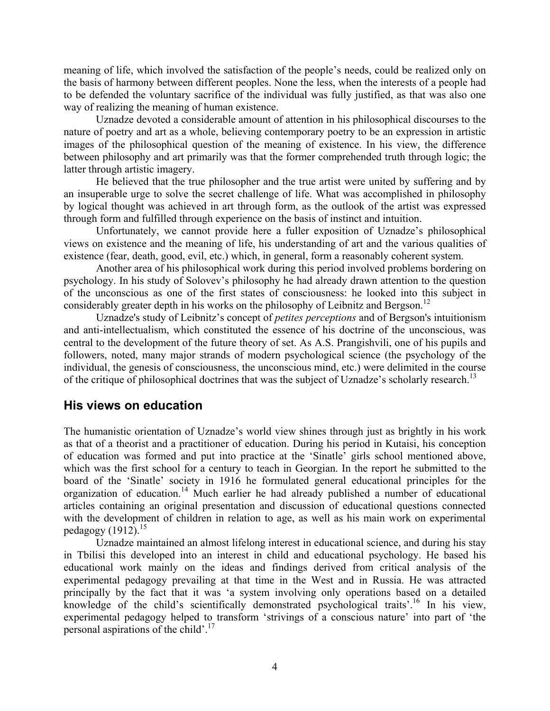meaning of life, which involved the satisfaction of the people's needs, could be realized only on the basis of harmony between different peoples. None the less, when the interests of a people had to be defended the voluntary sacrifice of the individual was fully justified, as that was also one way of realizing the meaning of human existence.

Uznadze devoted a considerable amount of attention in his philosophical discourses to the nature of poetry and art as a whole, believing contemporary poetry to be an expression in artistic images of the philosophical question of the meaning of existence. In his view, the difference between philosophy and art primarily was that the former comprehended truth through logic; the latter through artistic imagery.

He believed that the true philosopher and the true artist were united by suffering and by an insuperable urge to solve the secret challenge of life. What was accomplished in philosophy by logical thought was achieved in art through form, as the outlook of the artist was expressed through form and fulfilled through experience on the basis of instinct and intuition.

Unfortunately, we cannot provide here a fuller exposition of Uznadze's philosophical views on existence and the meaning of life, his understanding of art and the various qualities of existence (fear, death, good, evil, etc.) which, in general, form a reasonably coherent system.

Another area of his philosophical work during this period involved problems bordering on psychology. In his study of Solovev's philosophy he had already drawn attention to the question of the unconscious as one of the first states of consciousness: he looked into this subject in considerably greater depth in his works on the philosophy of Leibnitz and Bergson.<sup>12</sup>

Uznadze's study of Leibnitz's concept of *petites perceptions* and of Bergson's intuitionism and anti-intellectualism, which constituted the essence of his doctrine of the unconscious, was central to the development of the future theory of set. As A.S. Prangishvili, one of his pupils and followers, noted, many major strands of modern psychological science (the psychology of the individual, the genesis of consciousness, the unconscious mind, etc.) were delimited in the course of the critique of philosophical doctrines that was the subject of Uznadze's scholarly research.<sup>13</sup>

### **His views on education**

The humanistic orientation of Uznadze's world view shines through just as brightly in his work as that of a theorist and a practitioner of education. During his period in Kutaisi, his conception of education was formed and put into practice at the 'Sinatle' girls school mentioned above, which was the first school for a century to teach in Georgian. In the report he submitted to the board of the 'Sinatle' society in 1916 he formulated general educational principles for the organization of education.14 Much earlier he had already published a number of educational articles containing an original presentation and discussion of educational questions connected with the development of children in relation to age, as well as his main work on experimental pedagogy  $(1912)^{15}$ 

Uznadze maintained an almost lifelong interest in educational science, and during his stay in Tbilisi this developed into an interest in child and educational psychology. He based his educational work mainly on the ideas and findings derived from critical analysis of the experimental pedagogy prevailing at that time in the West and in Russia. He was attracted principally by the fact that it was 'a system involving only operations based on a detailed knowledge of the child's scientifically demonstrated psychological traits'.16 In his view, experimental pedagogy helped to transform 'strivings of a conscious nature' into part of 'the personal aspirations of the child'.<sup>17</sup>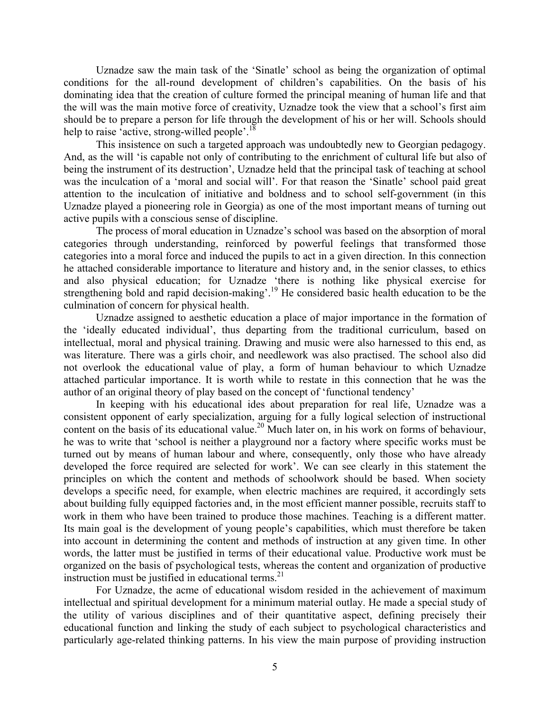Uznadze saw the main task of the 'Sinatle' school as being the organization of optimal conditions for the all-round development of children's capabilities. On the basis of his dominating idea that the creation of culture formed the principal meaning of human life and that the will was the main motive force of creativity, Uznadze took the view that a school's first aim should be to prepare a person for life through the development of his or her will. Schools should help to raise 'active, strong-willed people'.<sup>18</sup>

This insistence on such a targeted approach was undoubtedly new to Georgian pedagogy. And, as the will 'is capable not only of contributing to the enrichment of cultural life but also of being the instrument of its destruction', Uznadze held that the principal task of teaching at school was the inculcation of a 'moral and social will'. For that reason the 'Sinatle' school paid great attention to the inculcation of initiative and boldness and to school self-government (in this Uznadze played a pioneering role in Georgia) as one of the most important means of turning out active pupils with a conscious sense of discipline.

The process of moral education in Uznadze's school was based on the absorption of moral categories through understanding, reinforced by powerful feelings that transformed those categories into a moral force and induced the pupils to act in a given direction. In this connection he attached considerable importance to literature and history and, in the senior classes, to ethics and also physical education; for Uznadze 'there is nothing like physical exercise for strengthening bold and rapid decision-making'.19 He considered basic health education to be the culmination of concern for physical health.

Uznadze assigned to aesthetic education a place of major importance in the formation of the 'ideally educated individual', thus departing from the traditional curriculum, based on intellectual, moral and physical training. Drawing and music were also harnessed to this end, as was literature. There was a girls choir, and needlework was also practised. The school also did not overlook the educational value of play, a form of human behaviour to which Uznadze attached particular importance. It is worth while to restate in this connection that he was the author of an original theory of play based on the concept of 'functional tendency'

In keeping with his educational ides about preparation for real life, Uznadze was a consistent opponent of early specialization, arguing for a fully logical selection of instructional content on the basis of its educational value.<sup>20</sup> Much later on, in his work on forms of behaviour, he was to write that 'school is neither a playground nor a factory where specific works must be turned out by means of human labour and where, consequently, only those who have already developed the force required are selected for work'. We can see clearly in this statement the principles on which the content and methods of schoolwork should be based. When society develops a specific need, for example, when electric machines are required, it accordingly sets about building fully equipped factories and, in the most efficient manner possible, recruits staff to work in them who have been trained to produce those machines. Teaching is a different matter. Its main goal is the development of young people's capabilities, which must therefore be taken into account in determining the content and methods of instruction at any given time. In other words, the latter must be justified in terms of their educational value. Productive work must be organized on the basis of psychological tests, whereas the content and organization of productive instruction must be justified in educational terms. $21$ 

For Uznadze, the acme of educational wisdom resided in the achievement of maximum intellectual and spiritual development for a minimum material outlay. He made a special study of the utility of various disciplines and of their quantitative aspect, defining precisely their educational function and linking the study of each subject to psychological characteristics and particularly age-related thinking patterns. In his view the main purpose of providing instruction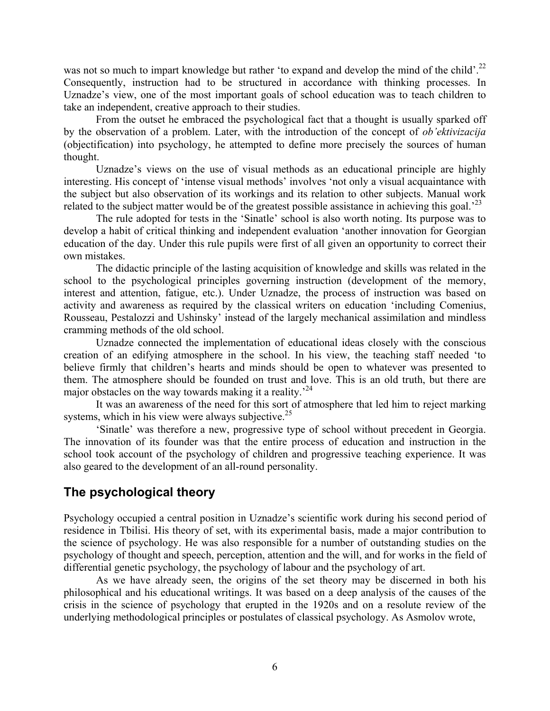was not so much to impart knowledge but rather 'to expand and develop the mind of the child'.<sup>22</sup> Consequently, instruction had to be structured in accordance with thinking processes. In Uznadze's view, one of the most important goals of school education was to teach children to take an independent, creative approach to their studies.

From the outset he embraced the psychological fact that a thought is usually sparked off by the observation of a problem. Later, with the introduction of the concept of *ob'ektivizacija* (objectification) into psychology, he attempted to define more precisely the sources of human thought.

Uznadze's views on the use of visual methods as an educational principle are highly interesting. His concept of 'intense visual methods' involves 'not only a visual acquaintance with the subject but also observation of its workings and its relation to other subjects. Manual work related to the subject matter would be of the greatest possible assistance in achieving this goal.<sup>23</sup>

The rule adopted for tests in the 'Sinatle' school is also worth noting. Its purpose was to develop a habit of critical thinking and independent evaluation 'another innovation for Georgian education of the day. Under this rule pupils were first of all given an opportunity to correct their own mistakes.

The didactic principle of the lasting acquisition of knowledge and skills was related in the school to the psychological principles governing instruction (development of the memory, interest and attention, fatigue, etc.). Under Uznadze, the process of instruction was based on activity and awareness as required by the classical writers on education 'including Comenius, Rousseau, Pestalozzi and Ushinsky' instead of the largely mechanical assimilation and mindless cramming methods of the old school.

Uznadze connected the implementation of educational ideas closely with the conscious creation of an edifying atmosphere in the school. In his view, the teaching staff needed 'to believe firmly that children's hearts and minds should be open to whatever was presented to them. The atmosphere should be founded on trust and love. This is an old truth, but there are major obstacles on the way towards making it a reality.'24

It was an awareness of the need for this sort of atmosphere that led him to reject marking systems, which in his view were always subjective.<sup>25</sup>

'Sinatle' was therefore a new, progressive type of school without precedent in Georgia. The innovation of its founder was that the entire process of education and instruction in the school took account of the psychology of children and progressive teaching experience. It was also geared to the development of an all-round personality.

## **The psychological theory**

Psychology occupied a central position in Uznadze's scientific work during his second period of residence in Tbilisi. His theory of set, with its experimental basis, made a major contribution to the science of psychology. He was also responsible for a number of outstanding studies on the psychology of thought and speech, perception, attention and the will, and for works in the field of differential genetic psychology, the psychology of labour and the psychology of art.

As we have already seen, the origins of the set theory may be discerned in both his philosophical and his educational writings. It was based on a deep analysis of the causes of the crisis in the science of psychology that erupted in the 1920s and on a resolute review of the underlying methodological principles or postulates of classical psychology. As Asmolov wrote,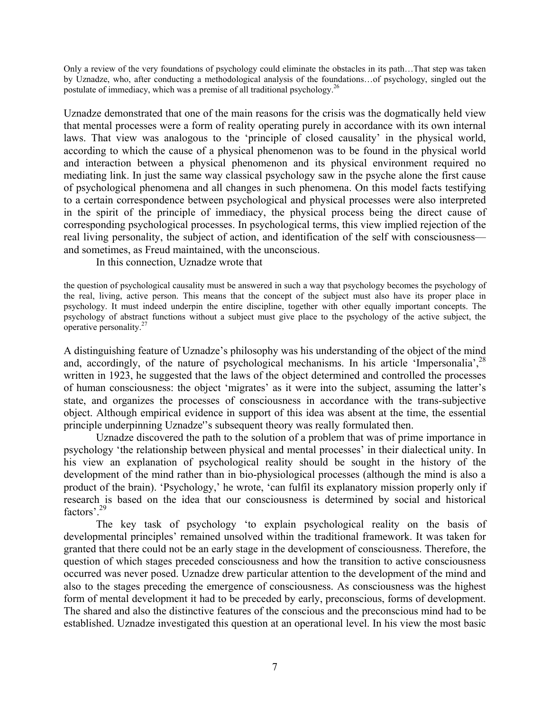Only a review of the very foundations of psychology could eliminate the obstacles in its path…That step was taken by Uznadze, who, after conducting a methodological analysis of the foundations…of psychology, singled out the postulate of immediacy, which was a premise of all traditional psychology.26

Uznadze demonstrated that one of the main reasons for the crisis was the dogmatically held view that mental processes were a form of reality operating purely in accordance with its own internal laws. That view was analogous to the 'principle of closed causality' in the physical world, according to which the cause of a physical phenomenon was to be found in the physical world and interaction between a physical phenomenon and its physical environment required no mediating link. In just the same way classical psychology saw in the psyche alone the first cause of psychological phenomena and all changes in such phenomena. On this model facts testifying to a certain correspondence between psychological and physical processes were also interpreted in the spirit of the principle of immediacy, the physical process being the direct cause of corresponding psychological processes. In psychological terms, this view implied rejection of the real living personality, the subject of action, and identification of the self with consciousness and sometimes, as Freud maintained, with the unconscious.

In this connection, Uznadze wrote that

the question of psychological causality must be answered in such a way that psychology becomes the psychology of the real, living, active person. This means that the concept of the subject must also have its proper place in psychology. It must indeed underpin the entire discipline, together with other equally important concepts. The psychology of abstract functions without a subject must give place to the psychology of the active subject, the operative personality.27

A distinguishing feature of Uznadze's philosophy was his understanding of the object of the mind and, accordingly, of the nature of psychological mechanisms. In his article 'Impersonalia',  $^{28}$ written in 1923, he suggested that the laws of the object determined and controlled the processes of human consciousness: the object 'migrates' as it were into the subject, assuming the latter's state, and organizes the processes of consciousness in accordance with the trans-subjective object. Although empirical evidence in support of this idea was absent at the time, the essential principle underpinning Uznadze''s subsequent theory was really formulated then.

Uznadze discovered the path to the solution of a problem that was of prime importance in psychology 'the relationship between physical and mental processes' in their dialectical unity. In his view an explanation of psychological reality should be sought in the history of the development of the mind rather than in bio-physiological processes (although the mind is also a product of the brain). 'Psychology,' he wrote, 'can fulfil its explanatory mission properly only if research is based on the idea that our consciousness is determined by social and historical factors'.29

The key task of psychology 'to explain psychological reality on the basis of developmental principles' remained unsolved within the traditional framework. It was taken for granted that there could not be an early stage in the development of consciousness. Therefore, the question of which stages preceded consciousness and how the transition to active consciousness occurred was never posed. Uznadze drew particular attention to the development of the mind and also to the stages preceding the emergence of consciousness. As consciousness was the highest form of mental development it had to be preceded by early, preconscious, forms of development. The shared and also the distinctive features of the conscious and the preconscious mind had to be established. Uznadze investigated this question at an operational level. In his view the most basic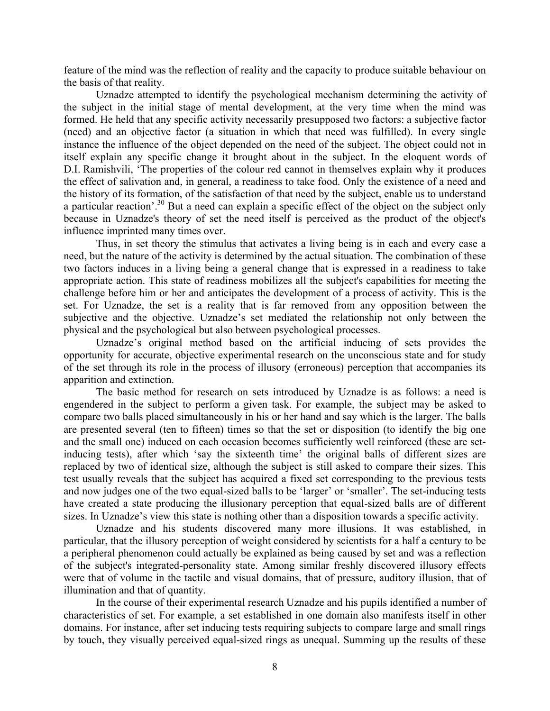feature of the mind was the reflection of reality and the capacity to produce suitable behaviour on the basis of that reality.

Uznadze attempted to identify the psychological mechanism determining the activity of the subject in the initial stage of mental development, at the very time when the mind was formed. He held that any specific activity necessarily presupposed two factors: a subjective factor (need) and an objective factor (a situation in which that need was fulfilled). In every single instance the influence of the object depended on the need of the subject. The object could not in itself explain any specific change it brought about in the subject. In the eloquent words of D.I. Ramishvili, 'The properties of the colour red cannot in themselves explain why it produces the effect of salivation and, in general, a readiness to take food. Only the existence of a need and the history of its formation, of the satisfaction of that need by the subject, enable us to understand a particular reaction'.<sup>30</sup> But a need can explain a specific effect of the object on the subject only because in Uznadze's theory of set the need itself is perceived as the product of the object's influence imprinted many times over.

Thus, in set theory the stimulus that activates a living being is in each and every case a need, but the nature of the activity is determined by the actual situation. The combination of these two factors induces in a living being a general change that is expressed in a readiness to take appropriate action. This state of readiness mobilizes all the subject's capabilities for meeting the challenge before him or her and anticipates the development of a process of activity. This is the set. For Uznadze, the set is a reality that is far removed from any opposition between the subjective and the objective. Uznadze's set mediated the relationship not only between the physical and the psychological but also between psychological processes.

Uznadze's original method based on the artificial inducing of sets provides the opportunity for accurate, objective experimental research on the unconscious state and for study of the set through its role in the process of illusory (erroneous) perception that accompanies its apparition and extinction.

The basic method for research on sets introduced by Uznadze is as follows: a need is engendered in the subject to perform a given task. For example, the subject may be asked to compare two balls placed simultaneously in his or her hand and say which is the larger. The balls are presented several (ten to fifteen) times so that the set or disposition (to identify the big one and the small one) induced on each occasion becomes sufficiently well reinforced (these are setinducing tests), after which 'say the sixteenth time' the original balls of different sizes are replaced by two of identical size, although the subject is still asked to compare their sizes. This test usually reveals that the subject has acquired a fixed set corresponding to the previous tests and now judges one of the two equal-sized balls to be 'larger' or 'smaller'. The set-inducing tests have created a state producing the illusionary perception that equal-sized balls are of different sizes. In Uznadze's view this state is nothing other than a disposition towards a specific activity.

Uznadze and his students discovered many more illusions. It was established, in particular, that the illusory perception of weight considered by scientists for a half a century to be a peripheral phenomenon could actually be explained as being caused by set and was a reflection of the subject's integrated-personality state. Among similar freshly discovered illusory effects were that of volume in the tactile and visual domains, that of pressure, auditory illusion, that of illumination and that of quantity.

In the course of their experimental research Uznadze and his pupils identified a number of characteristics of set. For example, a set established in one domain also manifests itself in other domains. For instance, after set inducing tests requiring subjects to compare large and small rings by touch, they visually perceived equal-sized rings as unequal. Summing up the results of these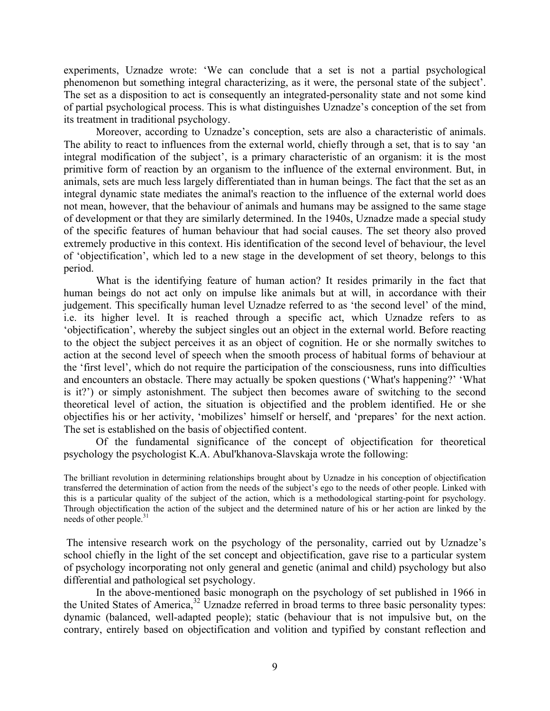experiments, Uznadze wrote: 'We can conclude that a set is not a partial psychological phenomenon but something integral characterizing, as it were, the personal state of the subject'. The set as a disposition to act is consequently an integrated-personality state and not some kind of partial psychological process. This is what distinguishes Uznadze's conception of the set from its treatment in traditional psychology.

Moreover, according to Uznadze's conception, sets are also a characteristic of animals. The ability to react to influences from the external world, chiefly through a set, that is to say 'an integral modification of the subject', is a primary characteristic of an organism: it is the most primitive form of reaction by an organism to the influence of the external environment. But, in animals, sets are much less largely differentiated than in human beings. The fact that the set as an integral dynamic state mediates the animal's reaction to the influence of the external world does not mean, however, that the behaviour of animals and humans may be assigned to the same stage of development or that they are similarly determined. In the 1940s, Uznadze made a special study of the specific features of human behaviour that had social causes. The set theory also proved extremely productive in this context. His identification of the second level of behaviour, the level of 'objectification', which led to a new stage in the development of set theory, belongs to this period.

What is the identifying feature of human action? It resides primarily in the fact that human beings do not act only on impulse like animals but at will, in accordance with their judgement. This specifically human level Uznadze referred to as 'the second level' of the mind, i.e. its higher level. It is reached through a specific act, which Uznadze refers to as 'objectification', whereby the subject singles out an object in the external world. Before reacting to the object the subject perceives it as an object of cognition. He or she normally switches to action at the second level of speech when the smooth process of habitual forms of behaviour at the 'first level', which do not require the participation of the consciousness, runs into difficulties and encounters an obstacle. There may actually be spoken questions ('What's happening?' 'What is it?') or simply astonishment. The subject then becomes aware of switching to the second theoretical level of action, the situation is objectified and the problem identified. He or she objectifies his or her activity, 'mobilizes' himself or herself, and 'prepares' for the next action. The set is established on the basis of objectified content.

Of the fundamental significance of the concept of objectification for theoretical psychology the psychologist K.A. Abul'khanova-Slavskaja wrote the following:

The brilliant revolution in determining relationships brought about by Uznadze in his conception of objectification transferred the determination of action from the needs of the subject's ego to the needs of other people. Linked with this is a particular quality of the subject of the action, which is a methodological starting-point for psychology. Through objectification the action of the subject and the determined nature of his or her action are linked by the needs of other people.<sup>31</sup>

 The intensive research work on the psychology of the personality, carried out by Uznadze's school chiefly in the light of the set concept and objectification, gave rise to a particular system of psychology incorporating not only general and genetic (animal and child) psychology but also differential and pathological set psychology.

In the above-mentioned basic monograph on the psychology of set published in 1966 in the United States of America,  $32 \text{ Uznadze referred}$  in broad terms to three basic personality types: dynamic (balanced, well-adapted people); static (behaviour that is not impulsive but, on the contrary, entirely based on objectification and volition and typified by constant reflection and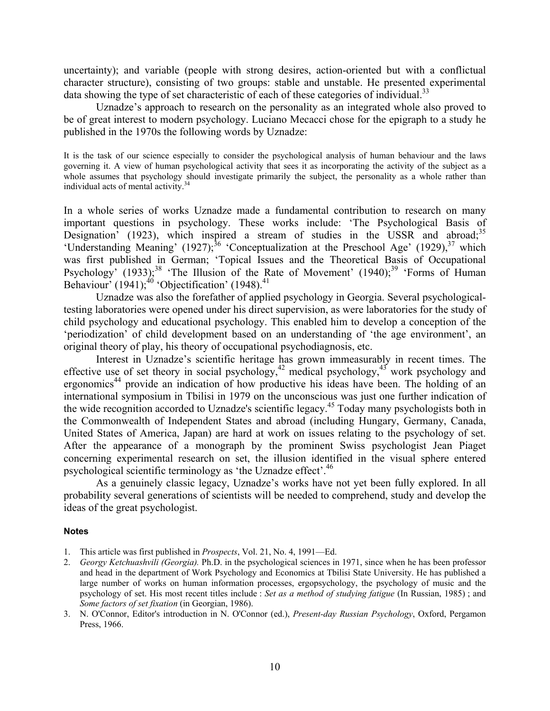uncertainty); and variable (people with strong desires, action-oriented but with a conflictual character structure), consisting of two groups: stable and unstable. He presented experimental data showing the type of set characteristic of each of these categories of individual.<sup>33</sup>

Uznadze's approach to research on the personality as an integrated whole also proved to be of great interest to modern psychology. Luciano Mecacci chose for the epigraph to a study he published in the 1970s the following words by Uznadze:

It is the task of our science especially to consider the psychological analysis of human behaviour and the laws governing it. A view of human psychological activity that sees it as incorporating the activity of the subject as a whole assumes that psychology should investigate primarily the subject, the personality as a whole rather than individual acts of mental activity.<sup>34</sup>

In a whole series of works Uznadze made a fundamental contribution to research on many important questions in psychology. These works include: 'The Psychological Basis of Designation' (1923), which inspired a stream of studies in the USSR and abroad; $35$ 'Understanding Meaning' (1927);<sup>36</sup> 'Conceptualization at the Preschool Age' (1929),<sup>37</sup> which was first published in German; 'Topical Issues and the Theoretical Basis of Occupational Psychology' (1933);<sup>38</sup> 'The Illusion of the Rate of Movement' (1940);<sup>39</sup> 'Forms of Human Behaviour' (1941);<sup>40</sup> 'Objectification' (1948).<sup>41</sup>

Uznadze was also the forefather of applied psychology in Georgia. Several psychologicaltesting laboratories were opened under his direct supervision, as were laboratories for the study of child psychology and educational psychology. This enabled him to develop a conception of the 'periodization' of child development based on an understanding of 'the age environment', an original theory of play, his theory of occupational psychodiagnosis, etc.

Interest in Uznadze's scientific heritage has grown immeasurably in recent times. The effective use of set theory in social psychology,<sup>42</sup> medical psychology,<sup>43</sup> work psychology and ergonomics<sup>44</sup> provide an indication of how productive his ideas have been. The holding of an international symposium in Tbilisi in 1979 on the unconscious was just one further indication of the wide recognition accorded to Uznadze's scientific legacy.45 Today many psychologists both in the Commonwealth of Independent States and abroad (including Hungary, Germany, Canada, United States of America, Japan) are hard at work on issues relating to the psychology of set. After the appearance of a monograph by the prominent Swiss psychologist Jean Piaget concerning experimental research on set, the illusion identified in the visual sphere entered psychological scientific terminology as 'the Uznadze effect'.46

As a genuinely classic legacy, Uznadze's works have not yet been fully explored. In all probability several generations of scientists will be needed to comprehend, study and develop the ideas of the great psychologist.

#### **Notes**

1. This article was first published in *Prospects*, Vol. 21, No. 4, 1991—Ed.

- 2. *Georgy Ketchuashvili (Georgia).* Ph.D. in the psychological sciences in 1971, since when he has been professor and head in the department of Work Psychology and Economics at Tbilisi State University. He has published a large number of works on human information processes, ergopsychology, the psychology of music and the psychology of set. His most recent titles include : *Set as a method of studying fatigue* (In Russian, 1985) ; and *Some factors of set fixation* (in Georgian, 1986).
- 3. N. O'Connor, Editor's introduction in N. O'Connor (ed.), *Present-day Russian Psychology*, Oxford, Pergamon Press, 1966.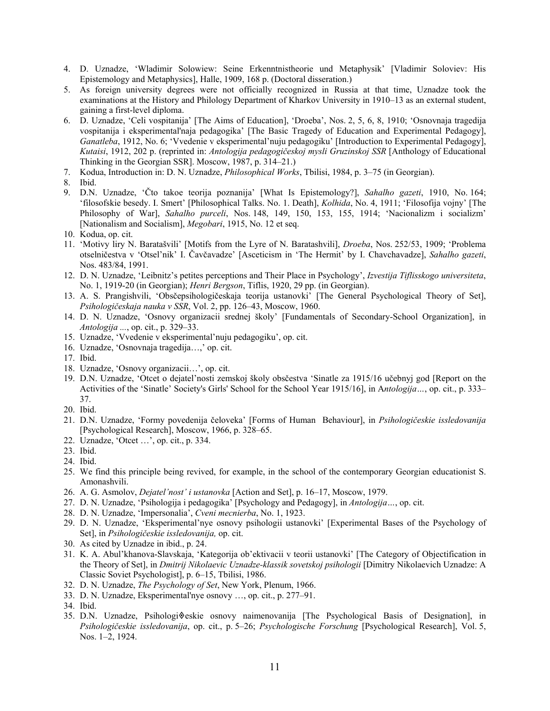- 4. D. Uznadze, 'Wladimir Solowiew: Seine Erkenntnistheorie und Metaphysik' [Vladimir Soloviev: His Epistemology and Metaphysics], Halle, 1909, 168 p. (Doctoral disseration.)
- 5. As foreign university degrees were not officially recognized in Russia at that time, Uznadze took the examinations at the History and Philology Department of Kharkov University in 1910–13 as an external student, gaining a first-level diploma.
- 6. D. Uznadze, 'Celi vospitanija' [The Aims of Education], 'Droeba', Nos. 2, 5, 6, 8, 1910; 'Osnovnaja tragedija vospitanija i eksperimental'naja pedagogika' [The Basic Tragedy of Education and Experimental Pedagogy], *Ganatleba*, 1912, No. 6; 'Vvedenie v eksperimental'nuju pedagogiku' [Introduction to Experimental Pedagogy], *Kutaisi*, 1912, 202 p. (reprinted in: *Antologija pedagogičeskoj mysli Gruzinskoj SSR* [Anthology of Educational Thinking in the Georgian SSR]. Moscow, 1987, p. 314–21.)
- 7. Kodua, Introduction in: D. N. Uznadze, *Philosophical Works*, Tbilisi, 1984, p. 3–75 (in Georgian).
- 8. Ibid.
- 9. D.N. Uznadze, 'Čto takoe teorija poznanija' [What Is Epistemology?], *Sahalho gazeti*, 1910, No. 164; 'filosofskie besedy. I. Smert' [Philosophical Talks. No. 1. Death], *Kolhida*, No. 4, 1911; 'Filosofija vojny' [The Philosophy of War], *Sahalho purceli*, Nos. 148, 149, 150, 153, 155, 1914; 'Nacionalizm i socializm' [Nationalism and Socialism], *Megobari*, 1915, No. 12 et seq.
- 10. Kodua, op. cit.
- 11. 'Motivy liry N. Baratašvili' [Motifs from the Lyre of N. Baratashvili], *Droeba*, Nos. 252/53, 1909; 'Problema otselničestva v 'Otsel'nik' I. Čavčavadze' [Asceticism in 'The Hermit' by I. Chavchavadze], *Sahalho gazeti*, Nos. 483/84, 1991.
- 12. D. N. Uznadze, 'Leibnitz's petites perceptions and Their Place in Psychology', *Izvestija Tiflisskogo universiteta*, No. 1, 1919-20 (in Georgian); *Henri Bergson*, Tiflis, 1920, 29 pp. (in Georgian).
- 13. A. S. Prangishvili, 'Obsčepsihologičeskaja teorija ustanovki' [The General Psychological Theory of Set], *Psihologičeskaja nauka v SSR*, Vol. 2, pp. 126–43, Moscow, 1960.
- 14. D. N. Uznadze, 'Osnovy organizacii srednej školy' [Fundamentals of Secondary-School Organization], in *Antologija ...*, op. cit., p. 329–33.
- 15. Uznadze, 'Vvedenie v eksperimental'nuju pedagogiku', op. cit.
- 16. Uznadze, 'Osnovnaja tragedija…,' op. cit.
- 17. Ibid.
- 18. Uznadze, 'Osnovy organizacii…', op. cit.
- 19. D.N. Uznadze, 'Otcet o dejatel'nosti zemskoj školy obsčestva 'Sinatle za 1915/16 učebnyj god [Report on the Activities of the 'Sinatle' Society's Girls' School for the School Year 1915/16], in A*ntologija…*, op. cit., p. 333– 37.
- 20. Ibid.
- 21. D.N. Uznadze, 'Formy povedenija čeloveka' [Forms of Human Behaviour], in *Psihologičeskie issledovanija* [Psychological Research], Moscow, 1966, p. 328–65.
- 22. Uznadze, 'Otcet …', op. cit., p. 334.
- 23. Ibid.
- 24. Ibid.
- 25. We find this principle being revived, for example, in the school of the contemporary Georgian educationist S. Amonashvili.
- 26. A. G. Asmolov, *Dejatel'nost' i ustanovka* [Action and Set], p. 16–17, Moscow, 1979.
- 27. D. N. Uznadze, 'Psihologija i pedagogika' [Psychology and Pedagogy], in *Antologija…*, op. cit.
- 28. D. N. Uznadze, 'Impersonalia', *Cveni mecnierba*, No. 1, 1923.
- 29. D. N. Uznadze, 'Eksperimental'nye osnovy psihologii ustanovki' [Experimental Bases of the Psychology of Set], in *Psihologičeskie issledovanija,* op. cit.
- 30. As cited by Uznadze in ibid., p. 24.
- 31. K. A. Abul'khanova-Slavskaja, 'Kategorija ob'ektivacii v teorii ustanovki' [The Category of Objectification in the Theory of Set], in *Dmitrij Nikolaevic Uznadze-klassik sovetskoj psihologii* [Dimitry Nikolaevich Uznadze: A Classic Soviet Psychologist], p. 6–15, Tbilisi, 1986.
- 32. D. N. Uznadze, *The Psychology of Set*, New York, Plenum, 1966.
- 33. D. N. Uznadze, Eksperimental'nye osnovy …, op. cit., p. 277–91.
- 34. Ibid.
- 35. D.N. Uznadze, Psihologieskie osnovy naimenovanija [The Psychological Basis of Designation], in *Psihologičeskie issledovanija*, op. cit., p. 5–26; *Psychologische Forschung* [Psychological Research], Vol. 5, Nos. 1–2, 1924.